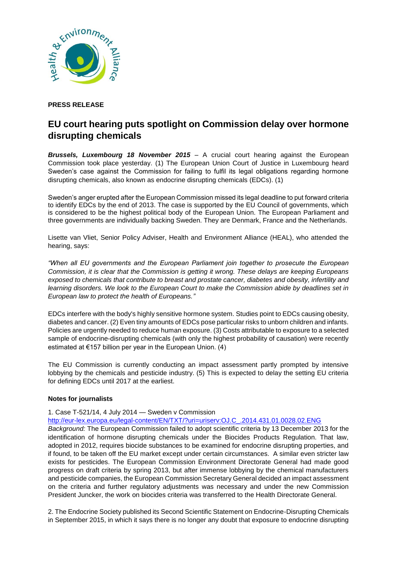

## **PRESS RELEASE**

## **EU court hearing puts spotlight on Commission delay over hormone disrupting chemicals**

*Brussels, Luxembourg 18 November 2015* – A crucial court hearing against the European Commission took place yesterday. (1) The European Union Court of Justice in Luxembourg heard Sweden's case against the Commission for failing to fulfil its legal obligations regarding hormone disrupting chemicals, also known as endocrine disrupting chemicals (EDCs). (1)

Sweden's anger erupted after the European Commission missed its legal deadline to put forward criteria to identify EDCs by the end of 2013. The case is supported by the EU Council of governments, which is considered to be the highest political body of the European Union. The European Parliament and three governments are individually backing Sweden. They are Denmark, France and the Netherlands.

Lisette van Vliet, Senior Policy Adviser, Health and Environment Alliance (HEAL), who attended the hearing, says:

*"When all EU governments and the European Parliament join together to prosecute the European Commission, it is clear that the Commission is getting it wrong. These delays are keeping Europeans exposed to chemicals that contribute to breast and prostate cancer, diabetes and obesity, infertility and learning disorders. We look to the European Court to make the Commission abide by deadlines set in European law to protect the health of Europeans."*

EDCs interfere with the body's highly sensitive hormone system. Studies point to EDCs causing obesity, diabetes and cancer. (2) Even tiny amounts of EDCs pose particular risks to unborn children and infants. Policies are urgently needed to reduce human exposure. (3) Costs attributable to exposure to a selected sample of endocrine-disrupting chemicals (with only the highest probability of causation) were recently estimated at €157 billion per year in the European Union. (4)

The EU Commission is currently conducting an impact assessment partly prompted by intensive lobbying by the chemicals and pesticide industry. (5) This is expected to delay the setting EU criteria for defining EDCs until 2017 at the earliest.

## **Notes for journalists**

1. Case T-521/14, 4 July 2014 — Sweden v Commission

[http://eur-lex.europa.eu/legal-content/EN/TXT/?uri=uriserv:OJ.C\\_.2014.431.01.0028.02.ENG](http://eur-lex.europa.eu/legal-content/EN/TXT/?uri=uriserv:OJ.C_.2014.431.01.0028.02.ENG)

*Background:* The European Commission failed to adopt scientific criteria by 13 December 2013 for the identification of hormone disrupting chemicals under the Biocides Products Regulation. That law, adopted in 2012, requires biocide substances to be examined for endocrine disrupting properties, and if found, to be taken off the EU market except under certain circumstances. A similar even stricter law exists for pesticides. The European Commission Environment Directorate General had made good progress on draft criteria by spring 2013, but after immense lobbying by the chemical manufacturers and pesticide companies, the European Commission Secretary General decided an impact assessment on the criteria and further regulatory adjustments was necessary and under the new Commission President Juncker, the work on biocides criteria was transferred to the Health Directorate General.

2. The Endocrine Society published its Second Scientific Statement on Endocrine-Disrupting Chemicals in September 2015, in which it says there is no longer any doubt that exposure to endocrine disrupting